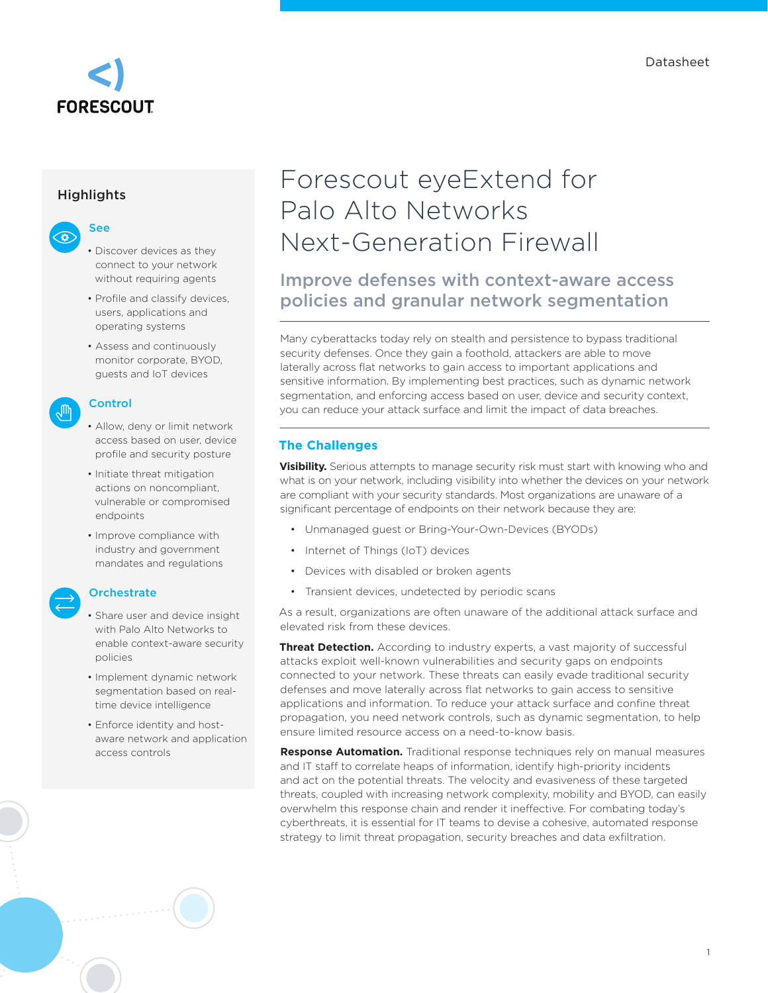

### **Highlights**



- Discover devices as they connect to your network without requiring agents
- Profile and classify devices, users, applications and operating systems
- Assess and continuously monitor corporate, BYOD, guests and IoT devices

### Control

- Allow, deny or limit network access based on user, device profile and security posture
- Initiate threat mitigation actions on noncompliant, vulnerable or compromised endpoints
- Improve compliance with industry and government mandates and regulations

# **Orchestrate**

- Share user and device insight with Palo Alto Networks to enable context-aware security policies
- Implement dynamic network segmentation based on realtime device intelligence
- Enforce identity and hostaware network and application access controls

# Forescout eyeExtend for Palo Alto Networks Next-Generation Firewall

# Improve defenses with context-aware access policies and granular network segmentation

Many cyberattacks today rely on stealth and persistence to bypass traditional security defenses. Once they gain a foothold, attackers are able to move laterally across flat networks to gain access to important applications and sensitive information. By implementing best practices, such as dynamic network segmentation, and enforcing access based on user, device and security context, you can reduce your attack surface and limit the impact of data breaches.

# **The Challenges**

**Visibility.** Serious attempts to manage security risk must start with knowing who and what is on your network, including visibility into whether the devices on your network are compliant with your security standards. Most organizations are unaware of a significant percentage of endpoints on their network because they are:

- Unmanaged guest or Bring-Your-Own-Devices (BYODs)
- Internet of Things (IoT) devices
- Devices with disabled or broken agents
- Transient devices, undetected by periodic scans

As a result, organizations are often unaware of the additional attack surface and elevated risk from these devices.

**Threat Detection.** According to industry experts, a vast majority of successful attacks exploit well-known vulnerabilities and security gaps on endpoints connected to your network. These threats can easily evade traditional security defenses and move laterally across flat networks to gain access to sensitive applications and information. To reduce your attack surface and confine threat propagation, you need network controls, such as dynamic segmentation, to help ensure limited resource access on a need-to-know basis.

**Response Automation.** Traditional response techniques rely on manual measures and IT staff to correlate heaps of information, identify high-priority incidents and act on the potential threats. The velocity and evasiveness of these targeted threats, coupled with increasing network complexity, mobility and BYOD, can easily overwhelm this response chain and render it ineffective. For combating today's cyberthreats, it is essential for IT teams to devise a cohesive, automated response strategy to limit threat propagation, security breaches and data exfiltration.